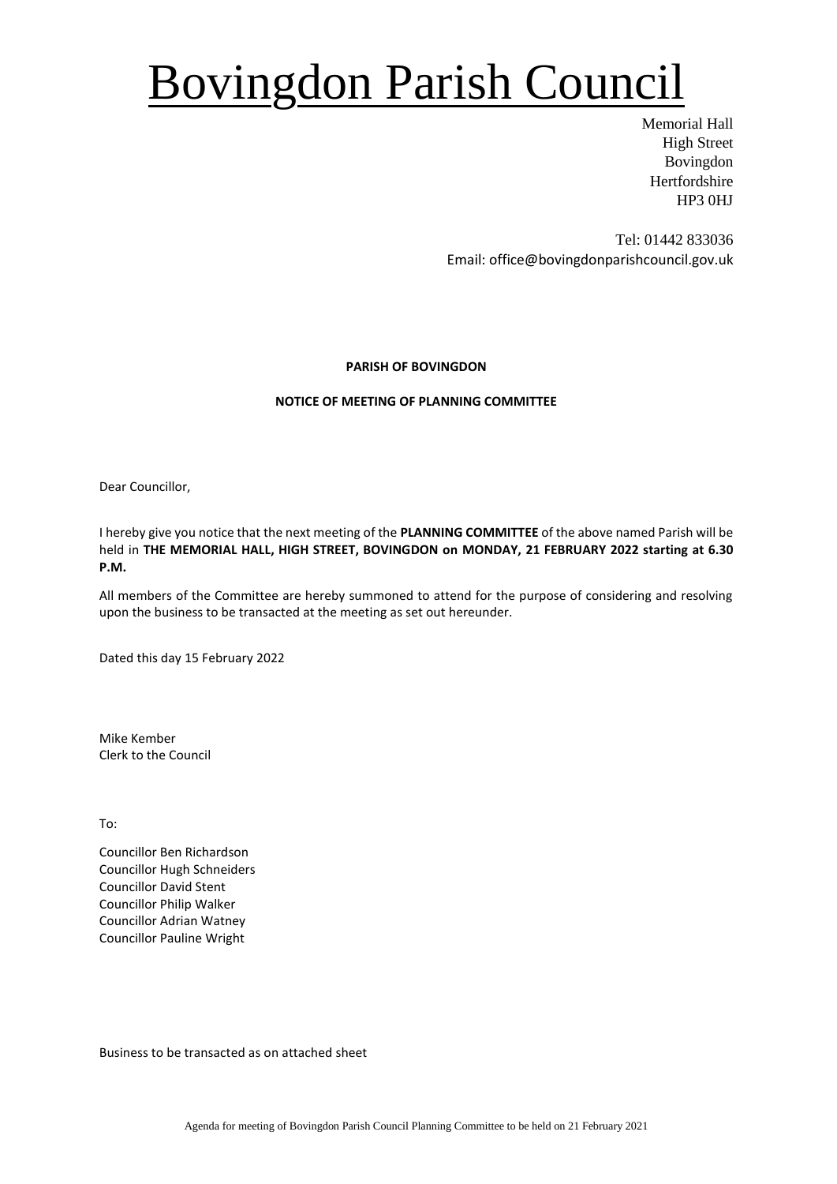## Bovingdon Parish Council

Memorial Hall High Street Bovingdon Hertfordshire HP3 0HJ

Tel: 01442 833036 Email: office@bovingdonparishcouncil.gov.uk

### **PARISH OF BOVINGDON**

### **NOTICE OF MEETING OF PLANNING COMMITTEE**

Dear Councillor,

I hereby give you notice that the next meeting of the **PLANNING COMMITTEE** of the above named Parish will be held in **THE MEMORIAL HALL, HIGH STREET, BOVINGDON on MONDAY, 21 FEBRUARY 2022 starting at 6.30 P.M.**

All members of the Committee are hereby summoned to attend for the purpose of considering and resolving upon the business to be transacted at the meeting as set out hereunder.

Dated this day 15 February 2022

Mike Kember Clerk to the Council

To:

Councillor Ben Richardson Councillor Hugh Schneiders Councillor David Stent Councillor Philip Walker Councillor Adrian Watney Councillor Pauline Wright

Business to be transacted as on attached sheet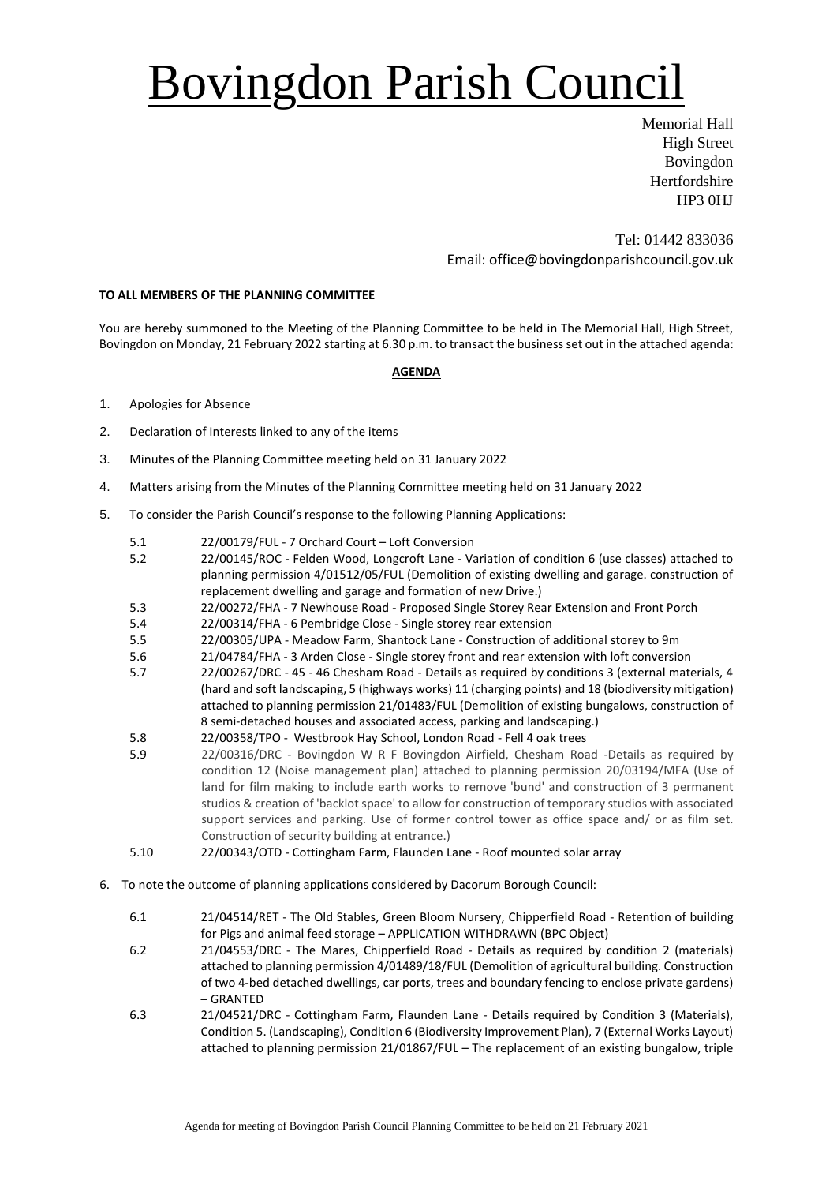# Bovingdon Parish Council

Memorial Hall High Street Bovingdon **Hertfordshire** HP3 0HJ

Tel: 01442 833036 Email: office@bovingdonparishcouncil.gov.uk

### **TO ALL MEMBERS OF THE PLANNING COMMITTEE**

You are hereby summoned to the Meeting of the Planning Committee to be held in The Memorial Hall, High Street, Bovingdon on Monday, 21 February 2022 starting at 6.30 p.m. to transact the business set out in the attached agenda:

#### **AGENDA**

- 1. Apologies for Absence
- 2. Declaration of Interests linked to any of the items
- 3. Minutes of the Planning Committee meeting held on 31 January 2022
- 4. Matters arising from the Minutes of the Planning Committee meeting held on 31 January 2022
- 5. To consider the Parish Council's response to the following Planning Applications:
	- 5.1 22/00179/FUL 7 Orchard Court Loft Conversion
	- 5.2 22/00145/ROC Felden Wood, Longcroft Lane Variation of condition 6 (use classes) attached to planning permission 4/01512/05/FUL (Demolition of existing dwelling and garage. construction of replacement dwelling and garage and formation of new Drive.)
	- 5.3 22/00272/FHA 7 Newhouse Road Proposed Single Storey Rear Extension and Front Porch
	- 5.4 22/00314/FHA 6 Pembridge Close Single storey rear extension
	- 5.5 22/00305/UPA Meadow Farm, Shantock Lane Construction of additional storey to 9m
	- 5.6 21/04784/FHA 3 Arden Close Single storey front and rear extension with loft conversion
	- 5.7 22/00267/DRC 45 46 Chesham Road Details as required by conditions 3 (external materials, 4 (hard and soft landscaping, 5 (highways works) 11 (charging points) and 18 (biodiversity mitigation) attached to planning permission 21/01483/FUL (Demolition of existing bungalows, construction of 8 semi-detached houses and associated access, parking and landscaping.)
	- 5.8 22/00358/TPO Westbrook Hay School, London Road Fell 4 oak trees
	- 5.9 22/00316/DRC Bovingdon W R F Bovingdon Airfield, Chesham Road -Details as required by condition 12 (Noise management plan) attached to planning permission 20/03194/MFA (Use of land for film making to include earth works to remove 'bund' and construction of 3 permanent studios & creation of 'backlot space' to allow for construction of temporary studios with associated support services and parking. Use of former control tower as office space and/ or as film set. Construction of security building at entrance.)
	- 5.10 22/00343/OTD Cottingham Farm, Flaunden Lane Roof mounted solar array
- 6. To note the outcome of planning applications considered by Dacorum Borough Council:
	- 6.1 21/04514/RET The Old Stables, Green Bloom Nursery, Chipperfield Road Retention of building for Pigs and animal feed storage – APPLICATION WITHDRAWN (BPC Object)
	- 6.2 21/04553/DRC The Mares, Chipperfield Road Details as required by condition 2 (materials) attached to planning permission 4/01489/18/FUL (Demolition of agricultural building. Construction of two 4-bed detached dwellings, car ports, trees and boundary fencing to enclose private gardens) – GRANTED
	- 6.3 21/04521/DRC Cottingham Farm, Flaunden Lane Details required by Condition 3 (Materials), Condition 5. (Landscaping), Condition 6 (Biodiversity Improvement Plan), 7 (External Works Layout) attached to planning permission 21/01867/FUL – The replacement of an existing bungalow, triple